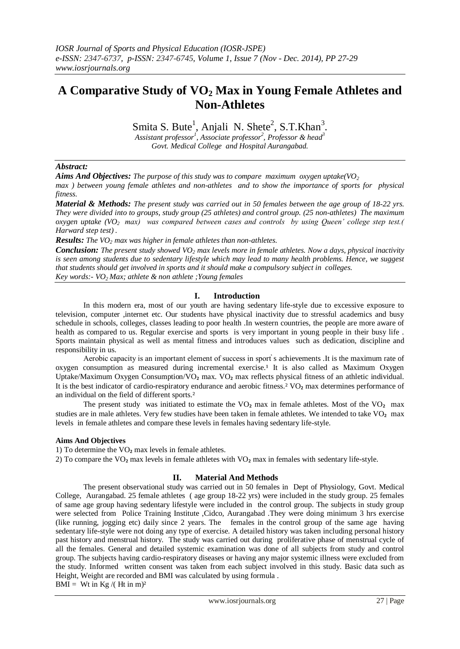# **A Comparative Study of VO<sup>2</sup> Max in Young Female Athletes and Non-Athletes**

Smita S. Bute<sup>1</sup>, Anjali N. Shete<sup>2</sup>, S.T.Khan<sup>3</sup>.

*Assistant professor<sup>1</sup> , Associate professor<sup>2</sup> , Professor & head<sup>3</sup> Govt. Medical College and Hospital Aurangabad.*

## *Abstract:*

*Aims And Objectives: The purpose of this study was to compare maximum oxygen uptake(VO<sup>2</sup>*

*max ) between young female athletes and non-athletes and to show the importance of sports for physical fitness.*

*Material & Methods: The present study was carried out in 50 females between the age group of 18-22 yrs. They were divided into to groups, study group (25 athletes) and control group. (25 non-athletes) The maximum oxygen uptake (VO2 max) was compared between cases and controls by using Queen' college step test.( Harward step test) .*

*Results: The VO<sup>2</sup> max was higher in female athletes than non-athletes.*

*Conclusion: The present study showed VO<sup>2</sup> max levels more in female athletes. Now a days, physical inactivity is seen among students due to sedentary lifestyle which may lead to many health problems. Hence, we suggest that students should get involved in sports and it should make a compulsory subject in colleges. Key words:- VO2 Max; athlete & non athlete ;Young females*

# **I. Introduction**

In this modern era, most of our youth are having sedentary life-style due to excessive exposure to television, computer ,internet etc. Our students have physical inactivity due to stressful academics and busy schedule in schools, colleges, classes leading to poor health .In western countries, the people are more aware of health as compared to us. Regular exercise and sports is very important in young people in their busy life . Sports maintain physical as well as mental fitness and introduces values such as dedication, discipline and responsibility in us.

Aerobic capacity is an important element of success in sport s achievements .It is the maximum rate of oxygen consumption as measured during incremental exercise.<sup>1</sup> It is also called as Maximum Oxygen Uptake/Maximum Oxygen Consumption/VO<sub>2</sub> max. VO<sub>2</sub> max reflects physical fitness of an athletic individual. It is the best indicator of cardio-respiratory endurance and aerobic fitness.<sup>2</sup> VO<sub>2</sub> max determines performance of an individual on the field of different sports.²

The present study was initiated to estimate the  $VO<sub>2</sub>$  max in female athletes. Most of the  $VO<sub>2</sub>$  max studies are in male athletes. Very few studies have been taken in female athletes. We intended to take VO<sub>2</sub> max levels in female athletes and compare these levels in females having sedentary life-style.

## **Aims And Objectives**

1) To determine the VO₂ max levels in female athletes.

2) To compare the VO<sub>2</sub> max levels in female athletes with VO<sub>2</sub> max in females with sedentary life-style.

# **II. Material And Methods**

The present observational study was carried out in 50 females in Dept of Physiology, Govt. Medical College, Aurangabad. 25 female athletes ( age group 18-22 yrs) were included in the study group. 25 females of same age group having sedentary lifestyle were included in the control group. The subjects in study group were selected from Police Training Institute ,Cidco, Aurangabad .They were doing minimum 3 hrs exercise (like running, jogging etc) daily since 2 years. The females in the control group of the same age having sedentary life-style were not doing any type of exercise. A detailed history was taken including personal history past history and menstrual history. The study was carried out during proliferative phase of menstrual cycle of all the females. General and detailed systemic examination was done of all subjects from study and control group. The subjects having cardio-respiratory diseases or having any major systemic illness were excluded from the study. Informed written consent was taken from each subject involved in this study. Basic data such as Height, Weight are recorded and BMI was calculated by using formula . BMI = Wt in Kg /( Ht in m)<sup>2</sup>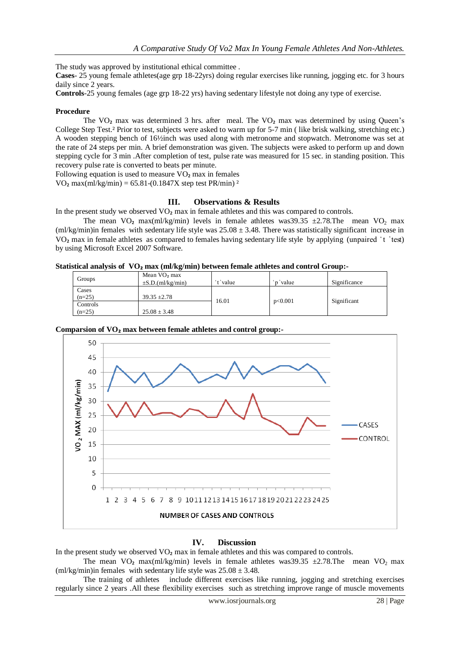The study was approved by institutional ethical committee .

**Cases**- 25 young female athletes(age grp 18-22yrs) doing regular exercises like running, jogging etc. for 3 hours daily since 2 years.

**Controls**-25 young females (age grp 18-22 yrs) having sedentary lifestyle not doing any type of exercise.

#### **Procedure**

The  $VO<sub>2</sub>$  max was determined 3 hrs. after meal. The  $VO<sub>2</sub>$  max was determined by using Queen's College Step Test.² Prior to test, subjects were asked to warm up for 5-7 min ( like brisk walking, stretching etc.) A wooden stepping bench of 16½inch was used along with metronome and stopwatch. Metronome was set at the rate of 24 steps per min. A brief demonstration was given. The subjects were asked to perform up and down stepping cycle for 3 min .After completion of test, pulse rate was measured for 15 sec. in standing position. This recovery pulse rate is converted to beats per minute.

Following equation is used to measure VO₂ max in females

VO<sub>2</sub> max(ml/kg/min) =  $65.81-(0.1847X)$  step test PR/min)<sup>2</sup>

#### **III. Observations & Results**

In the present study we observed  $VO<sub>2</sub>$  max in female athletes and this was compared to controls.

The mean VO<sub>2</sub> max(ml/kg/min) levels in female athletes was 39.35  $\pm$ 2.78.The mean VO<sub>2</sub> max (ml/kg/min)in females with sedentary life style was  $25.08 \pm 3.48$ . There was statistically significant increase in VO<sub>2</sub> max in female athletes as compared to females having sedentary life style by applying (unpaired  $\dot{\tau}$   $\dot{\tau}$  test) by using Microsoft Excel 2007 Software.

#### **Statistical analysis of VO₂ max (ml/kg/min) between female athletes and control Group:-**

| Groups               | Mean VO <sub>2</sub> max<br>$\pm$ S.D.(ml/kg/min) | ' <sup>+</sup> 'value | <i>n</i> 'value | Significance |
|----------------------|---------------------------------------------------|-----------------------|-----------------|--------------|
| Cases<br>$(n=25)$    | $39.35 \pm 2.78$                                  |                       |                 |              |
| Controls<br>$(n=25)$ | $25.08 \pm 3.48$                                  | 16.01                 | p<0.001         | Significant  |



#### **Comparsion of VO₂ max between female athletes and control group:-**

#### **IV. Discussion**

In the present study we observed  $VO<sub>2</sub>$  max in female athletes and this was compared to controls.

The mean VO<sub>2</sub> max(ml/kg/min) levels in female athletes was 39.35  $\pm$ 2.78.The mean VO<sub>2</sub> max (ml/kg/min)in females with sedentary life style was  $25.08 \pm 3.48$ .

The training of athletes include different exercises like running, jogging and stretching exercises regularly since 2 years .All these flexibility exercises such as stretching improve range of muscle movements